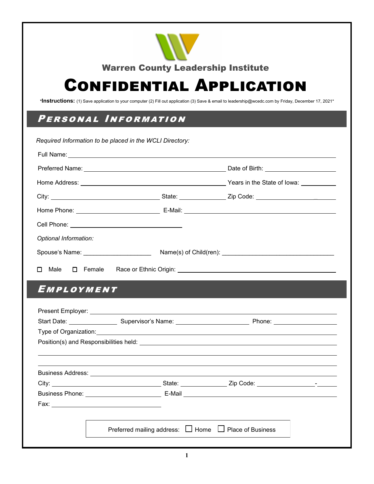

# Confidential Application

**\*Instructions:** (1) Save application to your computer (2) Fill out application (3) Save & email to leadership@wcedc.com by Friday, December 17, 2021\*

#### Personal Information

| Required Information to be placed in the WCLI Directory: |  |
|----------------------------------------------------------|--|
|                                                          |  |
|                                                          |  |
|                                                          |  |
|                                                          |  |
|                                                          |  |
|                                                          |  |
| Optional Information:                                    |  |
|                                                          |  |
| Male $\Box$ Female<br>П                                  |  |

# **EMPLOYMENT**

|                                                       | Phone: ______________________ |
|-------------------------------------------------------|-------------------------------|
|                                                       |                               |
|                                                       |                               |
|                                                       |                               |
|                                                       |                               |
|                                                       |                               |
|                                                       |                               |
|                                                       |                               |
|                                                       |                               |
|                                                       |                               |
| Preferred mailing address: □ Home □ Place of Business |                               |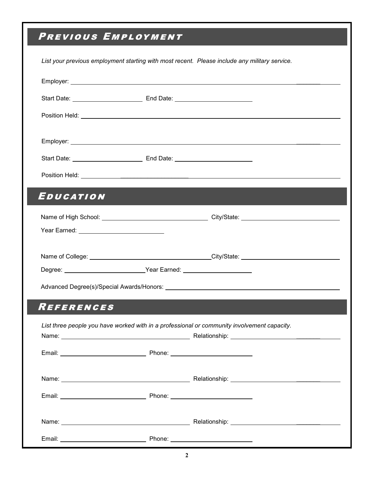# PREVIOUS EMPLOYMENT

|                           | List your previous employment starting with most recent. Please include any military service. |  |
|---------------------------|-----------------------------------------------------------------------------------------------|--|
|                           |                                                                                               |  |
|                           |                                                                                               |  |
|                           |                                                                                               |  |
|                           |                                                                                               |  |
|                           |                                                                                               |  |
|                           |                                                                                               |  |
| EDUCATION                 |                                                                                               |  |
|                           |                                                                                               |  |
| Year Earned: Vear Earned: |                                                                                               |  |
|                           |                                                                                               |  |
|                           |                                                                                               |  |
|                           |                                                                                               |  |
| <b>REFERENCES</b>         |                                                                                               |  |
|                           | List three people you have worked with in a professional or community involvement capacity.   |  |
|                           |                                                                                               |  |
|                           |                                                                                               |  |
|                           |                                                                                               |  |
|                           |                                                                                               |  |
|                           |                                                                                               |  |
|                           |                                                                                               |  |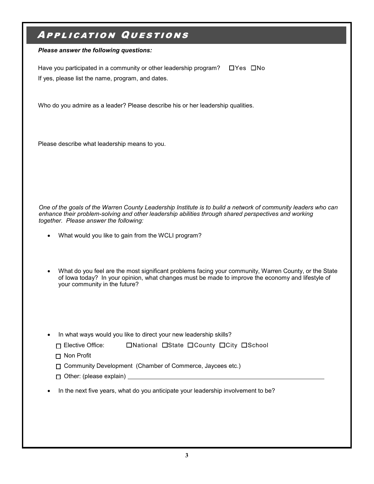#### Application Questions

*Please answer the following questions:*

Have you participated in a community or other leadership program?  $\Box$  Yes  $\Box$  No If yes, please list the name, program, and dates.

Who do you admire as a leader? Please describe his or her leadership qualities.

Please describe what leadership means to you.

*One of the goals of the Warren County Leadership Institute is to build a network of community leaders who can enhance their problem-solving and other leadership abilities through shared perspectives and working together. Please answer the following:*

- What would you like to gain from the WCLI program?
- What do you feel are the most significant problems facing your community, Warren County, or the State of Iowa today? In your opinion, what changes must be made to improve the economy and lifestyle of your community in the future?
- In what ways would you like to direct your new leadership skills?

| $\Box$ Elective Office: | □National □State □ County □ City □ School |  |  |  |  |
|-------------------------|-------------------------------------------|--|--|--|--|
|-------------------------|-------------------------------------------|--|--|--|--|

- □ Non Profit
- Community Development (Chamber of Commerce, Jaycees etc.)
- $\Box$  Other: (please explain)
- In the next five years, what do you anticipate your leadership involvement to be?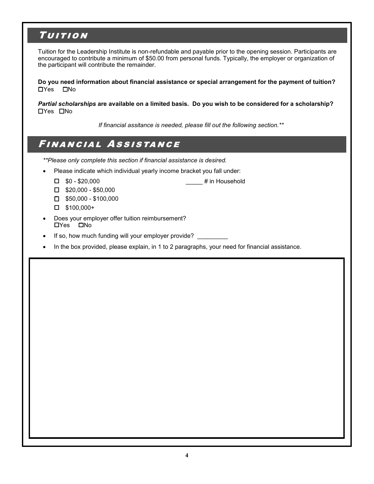### **TUITION**

Tuition for the Leadership Institute is non-refundable and payable prior to the opening session. Participants are encouraged to contribute a minimum of \$50.00 from personal funds. Typically, the employer or organization of the participant will contribute the remainder.

**Do you need information about financial assistance or special arrangement for the payment of tuition?**   $\Box$ Yes  $\Box$ No

*Partial scholarships* **are available on a limited basis. Do you wish to be considered for a scholarship?**  Yes No

*If financial assitance is needed, please fill out the following section.\*\**

# Financial Assistance

*\*\*Please only complete this section if financial assistance is desired.*

- Please indicate which individual yearly income bracket you fall under:
	- □ \$0 \$20,000 **diamage of the set of the set of the set of the set of the set of the set of the set of the set of the set of the set of the set of the set of the set of the set of the set of the set of the set of the set**
	- $\square$  \$20,000 \$50,000
	- $\square$  \$50,000 \$100,000
	- $\Box$  \$100,000+
- Does your employer offer tuition reimbursement? □Yes □No
- If so, how much funding will your employer provide?
- In the box provided, please explain, in 1 to 2 paragraphs, your need for financial assistance.